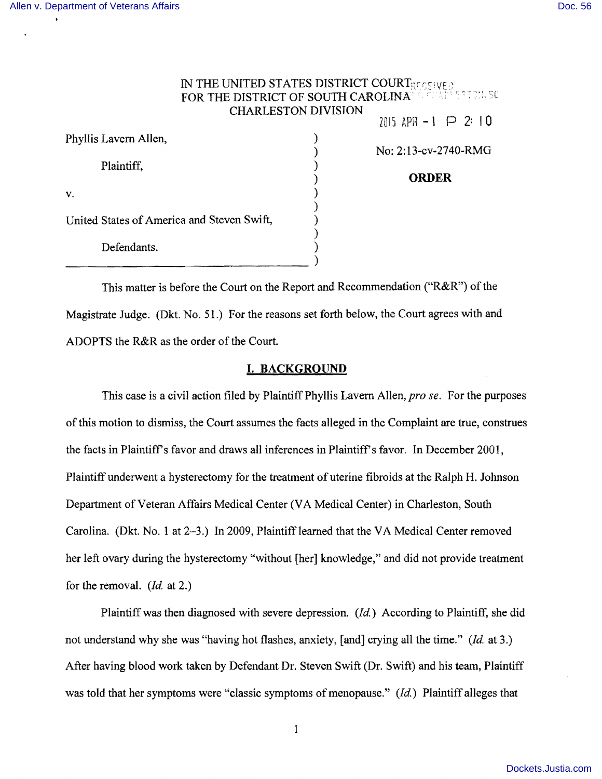| IN THE UNITED STATES DISTRICT COURTES SHOW |                            | FOR THE DISTRICT OF SOUTH CAROLINARD CONSERVATION. SO |
|--------------------------------------------|----------------------------|-------------------------------------------------------|
|                                            | <b>CHARLESTON DIVISION</b> | 7015 APR $-1$ $\implies$ 2: 10                        |
| Phyllis Lavern Allen,                      |                            |                                                       |
|                                            |                            | No: 2:13-cv-2740-RMG                                  |
| Plaintiff,                                 |                            |                                                       |
|                                            |                            | <b>ORDER</b>                                          |
| V.                                         |                            |                                                       |
|                                            |                            |                                                       |
| United States of America and Steven Swift, |                            |                                                       |
|                                            |                            |                                                       |
| Defendants.                                |                            |                                                       |
|                                            |                            |                                                       |
|                                            |                            |                                                       |

This matter is before the Court on the Report and Recommendation ("R&R") of the Magistrate Judge. (Dkt. No. 51.) For the reasons set forth below, the Court agrees with and ADOPTS the R&R as the order of the Court.

### **I. BACKGROUND**

This case is a civil action filed by Plaintiff Phyllis Lavern Allen, *pro se*. For the purposes ofthis motion to dismiss, the Court assumes the facts alleged in the Complaint are true, construes the facts in Plaintiff's favor and draws all inferences in Plaintiff's favor. In December 2001, Plaintiff underwent a hysterectomy for the treatment of uterine fibroids at the Ralph H. Johnson Department of Veteran Affairs Medical Center (VA Medical Center) in Charleston, South Carolina. (Dkt. No. 1 at 2-3.) In 2009, Plaintiff learned that the VA Medical Center removed her left ovary during the hysterectomy "without [her] knowledge," and did not provide treatment for the removal. *(Id.* at 2.)

Plaintiff was then diagnosed with severe depression. (*Id.*) According to Plaintiff, she did not understand why she was "having hot flashes, anxiety, [and] crying all the time." *(/d* at 3.) After having blood work taken by Defendant Dr. Steven Swift (Dr. Swift) and his team, Plaintiff was told that her symptoms were "classic symptoms of menopause." *(Id)* Plaintiff alleges that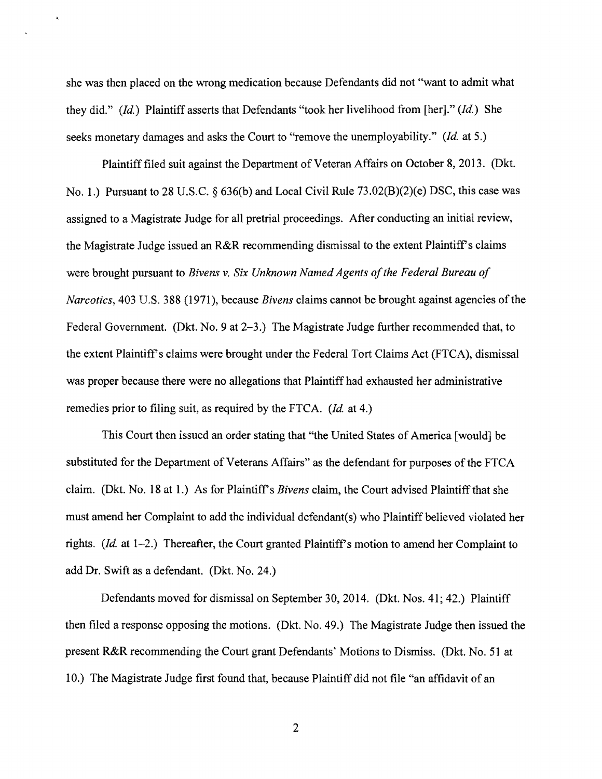she was then placed on the wrong medication because Defendants did not "want to admit what they did." *(/d.)* Plaintiff asserts that Defendants "took her livelihood from [her]." *(Id.)* She seeks monetary damages and asks the Court to "remove the unemployability." *(Id.* at 5.)

Plaintiff filed suit against the Department of Veteran Affairs on October 8, 2013. (Dkt. No.1.) Pursuant to 28 U.S.C. § 636(b) and Local Civil Rule 73.02(B)(2)(e) DSC, this case was assigned to a Magistrate Judge for all pretrial proceedings. After conducting an initial review, the Magistrate Judge issued an R&R recommending dismissal to the extent Plaintiff's claims were brought pursuant to *Bivens v. Six Unknown Named Agents of the Federal Bureau of Narcotics,* 403 U.S. 388 (1971), because *Bivens* claims cannot be brought against agencies ofthe Federal Government. (Dkt. No. 9 at 2-3.) The Magistrate Judge further recommended that, to the extent Plaintiff's claims were brought under the Federal Tort Claims Act (FTCA), dismissal was proper because there were no allegations that Plaintiff had exhausted her administrative remedies prior to filing suit, as required by the FTCA. *(Id.* at 4.)

This Court then issued an order stating that "the United States of America [would] be substituted for the Department of Veterans Affairs" as the defendant for purposes of the FTCA claim. (Dkt. No. 18 at 1.) As for Plaintiff's *Bivens* claim, the Court advised Plaintiff that she must amend her Complaint to add the individual defendant(s) who Plaintiff believed violated her rights.  $(Id.$  at  $1-2$ .) Thereafter, the Court granted Plaintiff's motion to amend her Complaint to add Dr. Swift as a defendant. (Dkt. No. 24.)

Defendants moved for dismissal on September 30, 2014. (Dkt. Nos. 41; 42.) Plaintiff then filed a response opposing the motions. (Dkt. No. 49.) The Magistrate Judge then issued the present R&R recommending the Court grant Defendants' Motions to Dismiss. (Dkt. No. 51 at 10.) The Magistrate Judge first found that, because Plaintiff did not file "an affidavit of an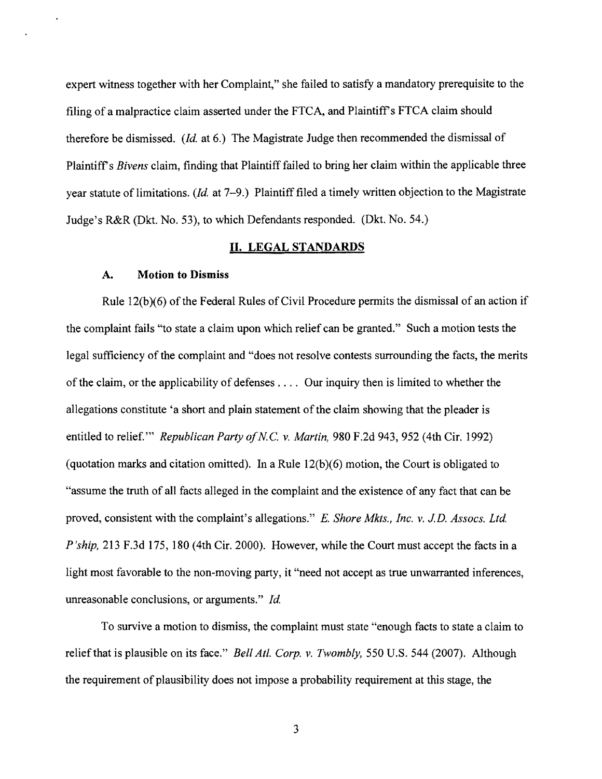expert witness together with her Complaint," she failed to satisfy a mandatory prerequisite to the filing of a malpractice claim asserted under the FTCA, and Plaintiff's FTCA claim should therefore be dismissed. *(Id.* at 6.) The Magistrate Judge then recommended the dismissal of Plaintiffs *Bivens* claim, finding that Plaintiff failed to bring her claim within the applicable three year statute of limitations. *(Id. at 7-9.)* Plaintiff filed a timely written objection to the Magistrate Judge's R&R (Dkt. No. 53), to which Defendants responded. (Dkt. No. 54.)

## **II.** LEGAL STANDARDS

#### A. **Motion to Dismiss**

Rule  $12(b)(6)$  of the Federal Rules of Civil Procedure permits the dismissal of an action if the complaint fails "to state a claim upon which relief can be granted." Such a motion tests the legal sufficiency of the complaint and "does not resolve contests surrounding the facts, the merits of the claim, or the applicability of defenses  $\dots$ . Our inquiry then is limited to whether the allegations constitute 'a short and plain statement of the claim showing that the pleader is entitled to relief." *Republican Party of N.C. v. Martin*, 980 F.2d 943, 952 (4th Cir. 1992) (quotation marks and citation omitted). In a Rule  $12(b)(6)$  motion, the Court is obligated to "assume the truth of all facts alleged in the complaint and the existence of any fact that can be proved, consistent with the complaint's allegations." *E. Shore Mkts., Inc. v. J.D. Assocs. Ltd. P'ship,* 213 F.3d 175, 180 (4th Cir. 2000). However, while the Court must accept the facts in a light most favorable to the non-moving party, it "need not accept as true unwarranted inferences, unreasonable conclusions, or arguments." *Id.* 

To survive a motion to dismiss, the complaint must state "enough facts to state a claim to relief that is plausible on its face." *Bell Atl. Corp. v. Twombly,* 550 U.S. 544 (2007). Although the requirement of plausibility does not impose a probability requirement at this stage, the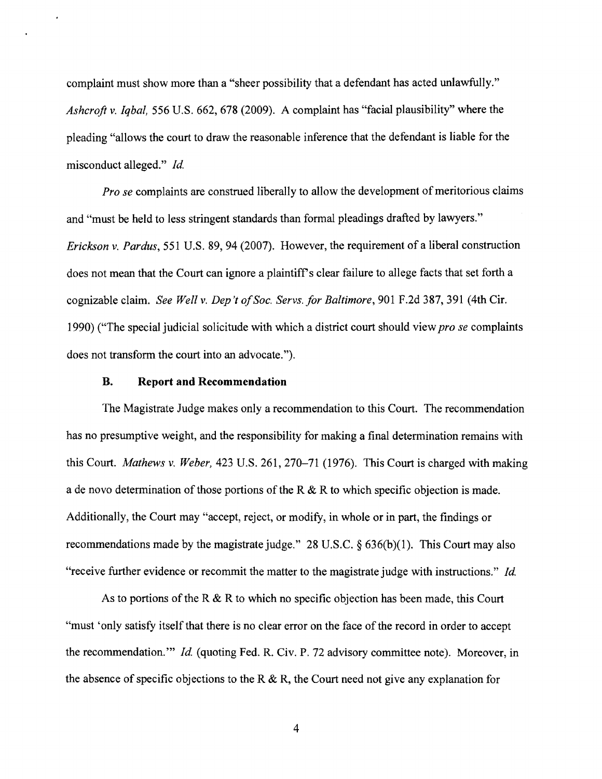complaint must show more than a "sheer possibility that a defendant has acted unlawfully." *Ashcroft* v. *Iqbal,* 556 U.S. 662, 678 (2009). A complaint has "facial plausibility" where the pleading "allows the court to draw the reasonable inference that the defendant is liable for the misconduct alleged." *Id.* 

*Pro se* complaints are construed liberally to allow the development of meritorious claims and "must be held to less stringent standards than formal pleadings drafted by lawyers." *Erickson* v. *Pardus,* 551 U.S. 89,94 (2007). However, the requirement of a liberal construction does not mean that the Court can ignore a plaintiff's clear failure to allege facts that set forth a cognizable claim. *See Well v. Dep't ofSoc. Servs. for Baltimore,* 901 F.2d 387, 391 (4th Cir. 1990) ("The special judicial solicitude with which a district court should view *pro se* complaints does not transform the court into an advocate. ").

# **B. Report and Recommendation**

The Magistrate Judge makes only a recommendation to this Court. The recommendation has no presumptive weight, and the responsibility for making a final determination remains with this Court. *Mathews v. Weber,* 423 U.S. 261, 270–71 (1976). This Court is charged with making a de novo determination of those portions of the R  $\&$  R to which specific objection is made. Additionally, the Court may "accept, reject, or modify, in whole or in part, the findings or recommendations made by the magistrate judge." 28 U.S.C.  $\S$  636(b)(1). This Court may also "receive further evidence or recommit the matter to the magistrate judge with instructions." *Id.* 

As to portions of the R & R to which no specific objection has been made, this Court "must 'only satisfy itself that there is no clear error on the face of the record in order to accept the recommendation.'" *Id.* (quoting Fed. R. Civ. P. 72 advisory committee note). Moreover, in the absence of specific objections to the R  $\&$  R, the Court need not give any explanation for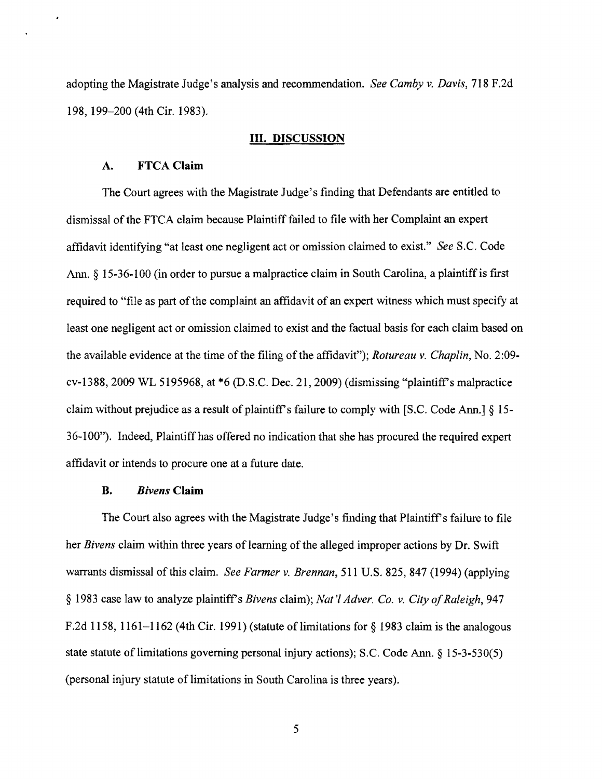adopting the Magistrate Judge's analysis and recommendation. *See Camby* v. *Davis,* 718 F.2d 198, 199-200 (4th Cir. 1983).

#### **III. DISCUSSION**

## A. FTCA **Claim**

The Court agrees with the Magistrate Judge's fmding that Defendants are entitled to dismissal of the FTCA claim because Plaintiff failed to file with her Complaint an expert affidavit identifying "at least one negligent act or omission claimed to exist." *See* S.C. Code Ann.  $\S$  15-36-100 (in order to pursue a malpractice claim in South Carolina, a plaintiff is first required to "file as part of the complaint an affidavit of an expert witness which must specify at least one negligent act or omission claimed to exist and the factual basis for each claim based on the available evidence at the time of the filing of the affidavit"); *Rotureau v. Chaplin*, No. 2:09cv1388, 2009 WL 5195968, at \*6 (D.S.C. Dec. 21, 2009) (dismissing "plaintiffs malpractice claim without prejudice as a result of plaintiff's failure to comply with [S.C. Code Ann.]  $\S$  15-36100"). Indeed, Plaintiff has offered no indication that she has procured the required expert affidavit or intends to procure one at a future date.

# **B.** *Bivens* **Claim**

The Court also agrees with the Magistrate Judge's finding that Plaintiff's failure to file her *Bivens* claim within three years of learning of the alleged improper actions by Dr. Swift warrants dismissal of this claim. *See Farmer* v. *Brennan,* 511 U.S. 825, 847 (1994) (applying § 1983 case law to analyze plaintiff's *Bivens* claim); *Nat'l Adver. Co. v. City of Raleigh*, 947 F.2d 1158, 1161–1162 (4th Cir. 1991) (statute of limitations for  $\S$  1983 claim is the analogous state statute of limitations governing personal injury actions); S.C. Code Ann.  $\S 15-3-530(5)$ (personal injury statute of limitations in South Carolina is three years).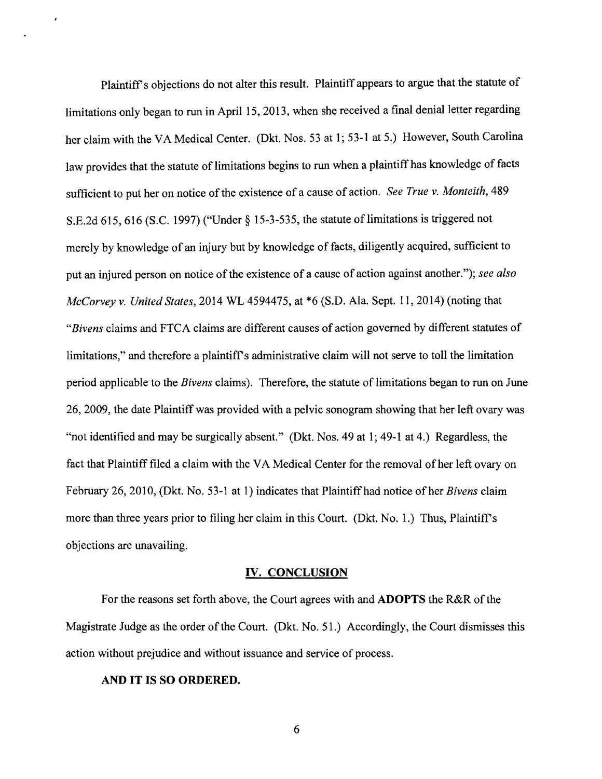Plaintiff's objections do not alter this result. Plaintiff appears to argue that the statute of limitations only began to run in April 15, 2013, when she received a final denial letter regarding her claim with the VA Medical Center. (Dkt. Nos. 53 at 1; 53-1 at 5.) However, South Carolina law provides that the statute of limitations begins to run when a plaintiff has knowledge of facts sufficient to put her on notice of the existence of a cause of action. See True v. Monteith, 489 S.E.2d 615, 616 (S.C. 1997) ("Under  $\S$  15-3-535, the statute of limitations is triggered not merely by knowledge of an injury but by knowledge of facts, diligently acquired, sufficient to put an injured person on notice of the existence of a cause of action against another."); see also *McCorvey* v. *United States,* 2014 WL 4594475, at \*6 (S.D. Ala. Sept. 11,2014) (noting that *"Bivens* claims and FTCA claims are different causes of action governed by different statutes of limitations," and therefore a plaintiff's administrative claim will not serve to toll the limitation period applicable to the *Bivens* claims). Therefore, the statute of limitations began to run on June 26,2009, the date Plaintiff was provided with a pelvic sonogram showing that her left ovary was "not identified and may be surgically absent." (Dkt. Nos. 49 at 1; 49-1 at 4.) Regardless, the fact that Plaintiff filed a claim with the VA Medical Center for the removal of her left ovary on February 26, 2010, (Dkt. No. 53-1 at 1) indicates that Plaintiff had notice of her *Bivens* claim more than three years prior to filing her claim in this Court. (Dkt. No. 1.) Thus, Plaintiff's objections are unavailing.

#### IV. CONCLUSION

For the reasons set forth above, the Court agrees with and **ADOPTS** the R&R of the Magistrate Judge as the order of the Court. (Dkt. No. 51.) Accordingly, the Court dismisses this action without prejudice and without issuance and service of process.

# AND IT IS SO ORDERED.